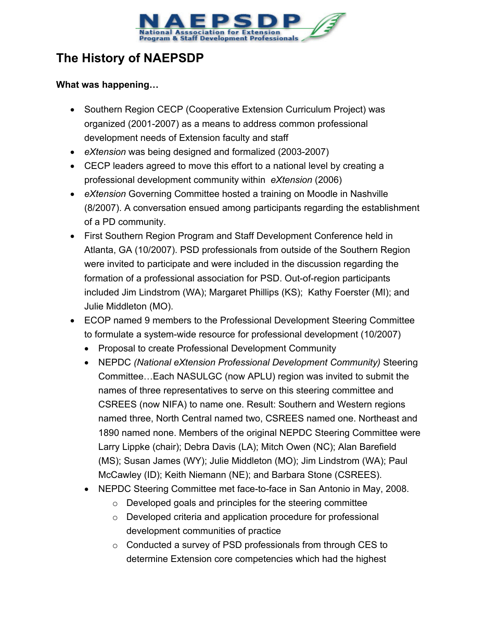

# **The History of NAEPSDP**

# **What was happening…**

- Southern Region CECP (Cooperative Extension Curriculum Project) was organized (2001-2007) as a means to address common professional development needs of Extension faculty and staff
- *eXtension* was being designed and formalized (2003-2007)
- CECP leaders agreed to move this effort to a national level by creating a professional development community within *eXtension* (2006)
- *eXtension* Governing Committee hosted a training on Moodle in Nashville (8/2007). A conversation ensued among participants regarding the establishment of a PD community.
- First Southern Region Program and Staff Development Conference held in Atlanta, GA (10/2007). PSD professionals from outside of the Southern Region were invited to participate and were included in the discussion regarding the formation of a professional association for PSD. Out-of-region participants included Jim Lindstrom (WA); Margaret Phillips (KS); Kathy Foerster (MI); and Julie Middleton (MO).
- ECOP named 9 members to the Professional Development Steering Committee to formulate a system-wide resource for professional development (10/2007)
	- Proposal to create Professional Development Community
	- NEPDC *(National eXtension Professional Development Community)* Steering Committee…Each NASULGC (now APLU) region was invited to submit the names of three representatives to serve on this steering committee and CSREES (now NIFA) to name one. Result: Southern and Western regions named three, North Central named two, CSREES named one. Northeast and 1890 named none. Members of the original NEPDC Steering Committee were Larry Lippke (chair); Debra Davis (LA); Mitch Owen (NC); Alan Barefield (MS); Susan James (WY); Julie Middleton (MO); Jim Lindstrom (WA); Paul McCawley (ID); Keith Niemann (NE); and Barbara Stone (CSREES).
	- NEPDC Steering Committee met face-to-face in San Antonio in May, 2008.
		- o Developed goals and principles for the steering committee
		- o Developed criteria and application procedure for professional development communities of practice
		- o Conducted a survey of PSD professionals from through CES to determine Extension core competencies which had the highest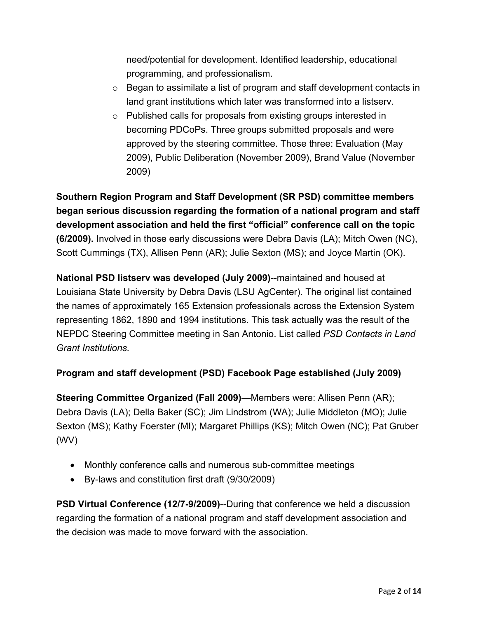need/potential for development. Identified leadership, educational programming, and professionalism.

- $\circ$  Began to assimilate a list of program and staff development contacts in land grant institutions which later was transformed into a listserv.
- o Published calls for proposals from existing groups interested in becoming PDCoPs. Three groups submitted proposals and were approved by the steering committee. Those three: Evaluation (May 2009), Public Deliberation (November 2009), Brand Value (November 2009)

**Southern Region Program and Staff Development (SR PSD) committee members began serious discussion regarding the formation of a national program and staff development association and held the first "official" conference call on the topic (6/2009).** Involved in those early discussions were Debra Davis (LA); Mitch Owen (NC), Scott Cummings (TX), Allisen Penn (AR); Julie Sexton (MS); and Joyce Martin (OK).

**National PSD listserv was developed (July 2009)**--maintained and housed at Louisiana State University by Debra Davis (LSU AgCenter). The original list contained the names of approximately 165 Extension professionals across the Extension System representing 1862, 1890 and 1994 institutions. This task actually was the result of the NEPDC Steering Committee meeting in San Antonio. List called *PSD Contacts in Land Grant Institutions.* 

# **Program and staff development (PSD) Facebook Page established (July 2009)**

**Steering Committee Organized (Fall 2009)**—Members were: Allisen Penn (AR); Debra Davis (LA); Della Baker (SC); Jim Lindstrom (WA); Julie Middleton (MO); Julie Sexton (MS); Kathy Foerster (MI); Margaret Phillips (KS); Mitch Owen (NC); Pat Gruber (WV)

- Monthly conference calls and numerous sub-committee meetings
- By-laws and constitution first draft (9/30/2009)

**PSD Virtual Conference (12/7-9/2009)--During that conference we held a discussion** regarding the formation of a national program and staff development association and the decision was made to move forward with the association.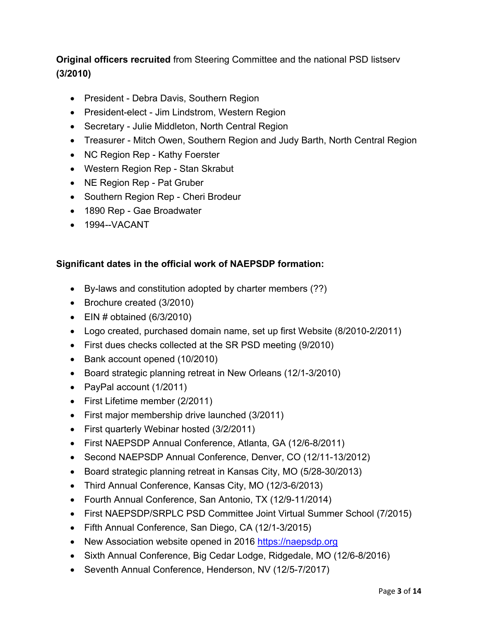# **Original officers recruited** from Steering Committee and the national PSD listserv **(3/2010)**

- President Debra Davis, Southern Region
- President-elect Jim Lindstrom, Western Region
- Secretary Julie Middleton, North Central Region
- Treasurer Mitch Owen, Southern Region and Judy Barth, North Central Region
- NC Region Rep Kathy Foerster
- Western Region Rep Stan Skrabut
- NE Region Rep Pat Gruber
- Southern Region Rep Cheri Brodeur
- 1890 Rep Gae Broadwater
- 1994--VACANT

#### **Significant dates in the official work of NAEPSDP formation:**

- By-laws and constitution adopted by charter members (??)
- Brochure created (3/2010)
- $\bullet$  EIN # obtained (6/3/2010)
- Logo created, purchased domain name, set up first Website (8/2010-2/2011)
- First dues checks collected at the SR PSD meeting (9/2010)
- Bank account opened (10/2010)
- Board strategic planning retreat in New Orleans (12/1-3/2010)
- PayPal account (1/2011)
- First Lifetime member (2/2011)
- First major membership drive launched (3/2011)
- First quarterly Webinar hosted (3/2/2011)
- First NAEPSDP Annual Conference, Atlanta, GA (12/6-8/2011)
- Second NAEPSDP Annual Conference, Denver, CO (12/11-13/2012)
- Board strategic planning retreat in Kansas City, MO (5/28-30/2013)
- Third Annual Conference, Kansas City, MO (12/3-6/2013)
- Fourth Annual Conference, San Antonio, TX (12/9-11/2014)
- First NAEPSDP/SRPLC PSD Committee Joint Virtual Summer School (7/2015)
- Fifth Annual Conference, San Diego, CA (12/1-3/2015)
- New Association website opened in 2016 https://naepsdp.org
- Sixth Annual Conference, Big Cedar Lodge, Ridgedale, MO (12/6-8/2016)
- Seventh Annual Conference, Henderson, NV (12/5-7/2017)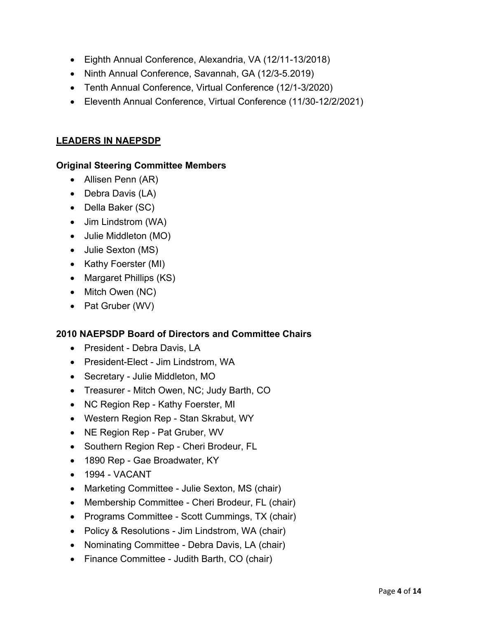- Eighth Annual Conference, Alexandria, VA (12/11-13/2018)
- Ninth Annual Conference, Savannah, GA (12/3-5.2019)
- Tenth Annual Conference, Virtual Conference (12/1-3/2020)
- Eleventh Annual Conference, Virtual Conference (11/30-12/2/2021)

### **LEADERS IN NAEPSDP**

#### **Original Steering Committee Members**

- Allisen Penn (AR)
- Debra Davis (LA)
- Della Baker (SC)
- Jim Lindstrom (WA)
- Julie Middleton (MO)
- Julie Sexton (MS)
- Kathy Foerster (MI)
- Margaret Phillips (KS)
- Mitch Owen (NC)
- Pat Gruber (WV)

# **2010 NAEPSDP Board of Directors and Committee Chairs**

- President Debra Davis, LA
- President-Elect Jim Lindstrom, WA
- Secretary Julie Middleton, MO
- Treasurer Mitch Owen, NC; Judy Barth, CO
- NC Region Rep Kathy Foerster, MI
- Western Region Rep Stan Skrabut, WY
- NE Region Rep Pat Gruber, WV
- Southern Region Rep Cheri Brodeur, FL
- 1890 Rep Gae Broadwater, KY
- 1994 VACANT
- Marketing Committee Julie Sexton, MS (chair)
- Membership Committee Cheri Brodeur, FL (chair)
- Programs Committee Scott Cummings, TX (chair)
- Policy & Resolutions Jim Lindstrom, WA (chair)
- Nominating Committee Debra Davis, LA (chair)
- Finance Committee Judith Barth, CO (chair)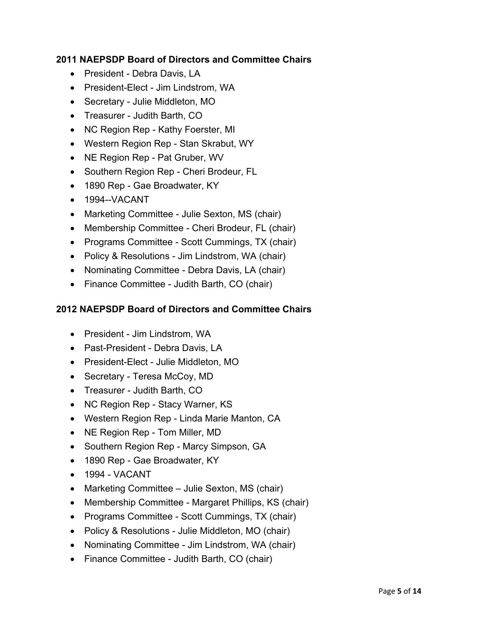# **2011 NAEPSDP Board of Directors and Committee Chairs**

- President Debra Davis, LA
- President-Elect Jim Lindstrom, WA
- Secretary Julie Middleton, MO
- Treasurer Judith Barth, CO
- NC Region Rep Kathy Foerster, MI
- Western Region Rep Stan Skrabut, WY
- NE Region Rep Pat Gruber, WV
- Southern Region Rep Cheri Brodeur, FL
- 1890 Rep Gae Broadwater, KY
- 1994--VACANT
- Marketing Committee Julie Sexton, MS (chair)
- Membership Committee Cheri Brodeur, FL (chair)
- Programs Committee Scott Cummings, TX (chair)
- Policy & Resolutions Jim Lindstrom, WA (chair)
- Nominating Committee Debra Davis, LA (chair)
- Finance Committee Judith Barth, CO (chair)

# **2012 NAEPSDP Board of Directors and Committee Chairs**

- President Jim Lindstrom, WA
- Past-President Debra Davis, LA
- President-Elect Julie Middleton, MO
- Secretary Teresa McCoy, MD
- Treasurer Judith Barth, CO
- NC Region Rep Stacy Warner, KS
- Western Region Rep Linda Marie Manton, CA
- NE Region Rep Tom Miller, MD
- Southern Region Rep Marcy Simpson, GA
- 1890 Rep Gae Broadwater, KY
- $\bullet$  1994 VACANT
- Marketing Committee Julie Sexton, MS (chair)
- Membership Committee Margaret Phillips, KS (chair)
- Programs Committee Scott Cummings, TX (chair)
- Policy & Resolutions Julie Middleton, MO (chair)
- Nominating Committee Jim Lindstrom, WA (chair)
- Finance Committee Judith Barth, CO (chair)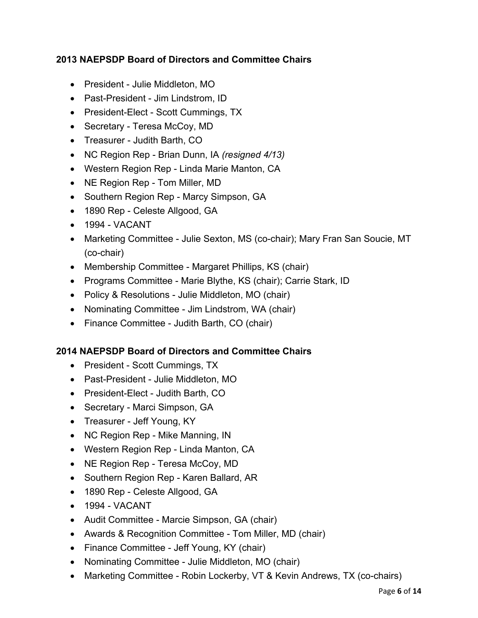# **2013 NAEPSDP Board of Directors and Committee Chairs**

- President Julie Middleton, MO
- Past-President Jim Lindstrom, ID
- President-Elect Scott Cummings, TX
- Secretary Teresa McCoy, MD
- Treasurer Judith Barth, CO
- NC Region Rep Brian Dunn, IA *(resigned 4/13)*
- Western Region Rep Linda Marie Manton, CA
- NE Region Rep Tom Miller, MD
- Southern Region Rep Marcy Simpson, GA
- 1890 Rep Celeste Allgood, GA
- 1994 VACANT
- Marketing Committee Julie Sexton, MS (co-chair); Mary Fran San Soucie, MT (co-chair)
- Membership Committee Margaret Phillips, KS (chair)
- Programs Committee Marie Blythe, KS (chair); Carrie Stark, ID
- Policy & Resolutions Julie Middleton, MO (chair)
- Nominating Committee Jim Lindstrom, WA (chair)
- Finance Committee Judith Barth, CO (chair)

# **2014 NAEPSDP Board of Directors and Committee Chairs**

- President Scott Cummings, TX
- Past-President Julie Middleton, MO
- President-Elect Judith Barth, CO
- Secretary Marci Simpson, GA
- Treasurer Jeff Young, KY
- NC Region Rep Mike Manning, IN
- Western Region Rep Linda Manton, CA
- NE Region Rep Teresa McCoy, MD
- Southern Region Rep Karen Ballard, AR
- 1890 Rep Celeste Allgood, GA
- 1994 VACANT
- Audit Committee Marcie Simpson, GA (chair)
- Awards & Recognition Committee Tom Miller, MD (chair)
- Finance Committee Jeff Young, KY (chair)
- Nominating Committee Julie Middleton, MO (chair)
- Marketing Committee Robin Lockerby, VT & Kevin Andrews, TX (co-chairs)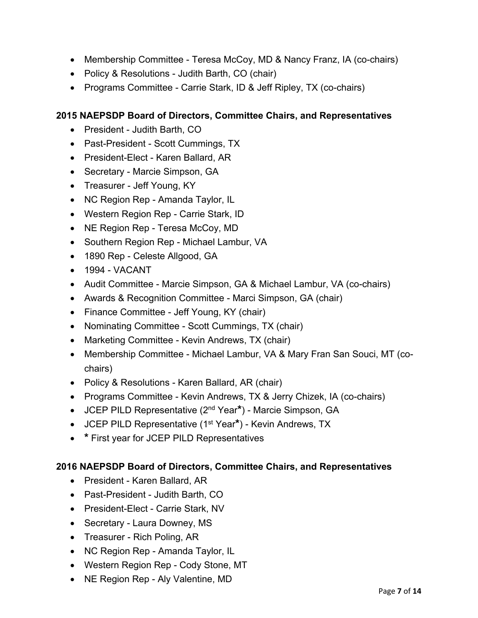- Membership Committee Teresa McCoy, MD & Nancy Franz, IA (co-chairs)
- Policy & Resolutions Judith Barth, CO (chair)
- Programs Committee Carrie Stark, ID & Jeff Ripley, TX (co-chairs)

- President Judith Barth, CO
- Past-President Scott Cummings, TX
- President-Elect Karen Ballard, AR
- Secretary Marcie Simpson, GA
- Treasurer Jeff Young, KY
- NC Region Rep Amanda Taylor, IL
- Western Region Rep Carrie Stark, ID
- NE Region Rep Teresa McCoy, MD
- Southern Region Rep Michael Lambur, VA
- 1890 Rep Celeste Allgood, GA
- 1994 VACANT
- Audit Committee Marcie Simpson, GA & Michael Lambur, VA (co-chairs)
- Awards & Recognition Committee Marci Simpson, GA (chair)
- Finance Committee Jeff Young, KY (chair)
- Nominating Committee Scott Cummings, TX (chair)
- Marketing Committee Kevin Andrews, TX (chair)
- Membership Committee Michael Lambur, VA & Mary Fran San Souci, MT (cochairs)
- Policy & Resolutions Karen Ballard, AR (chair)
- Programs Committee Kevin Andrews, TX & Jerry Chizek, IA (co-chairs)
- JCEP PILD Representative (2nd Year**\***) Marcie Simpson, GA
- JCEP PILD Representative (1st Year**\***) Kevin Andrews, TX
- **\*** First year for JCEP PILD Representatives

- President Karen Ballard, AR
- Past-President Judith Barth, CO
- President-Elect Carrie Stark, NV
- Secretary Laura Downey, MS
- Treasurer Rich Poling, AR
- NC Region Rep Amanda Taylor, IL
- Western Region Rep Cody Stone, MT
- NE Region Rep Aly Valentine, MD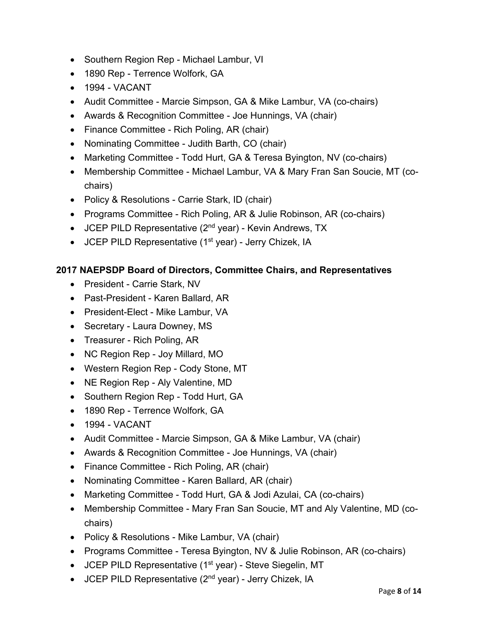- Southern Region Rep Michael Lambur, VI
- 1890 Rep Terrence Wolfork, GA
- 1994 VACANT
- Audit Committee Marcie Simpson, GA & Mike Lambur, VA (co-chairs)
- Awards & Recognition Committee Joe Hunnings, VA (chair)
- Finance Committee Rich Poling, AR (chair)
- Nominating Committee Judith Barth, CO (chair)
- Marketing Committee Todd Hurt, GA & Teresa Byington, NV (co-chairs)
- Membership Committee Michael Lambur, VA & Mary Fran San Soucie, MT (cochairs)
- Policy & Resolutions Carrie Stark, ID (chair)
- Programs Committee Rich Poling, AR & Julie Robinson, AR (co-chairs)
- $\bullet$  JCEP PILD Representative (2<sup>nd</sup> year) Kevin Andrews, TX
- JCEP PILD Representative (1<sup>st</sup> year) Jerry Chizek, IA

- President Carrie Stark, NV
- Past-President Karen Ballard, AR
- President-Elect Mike Lambur, VA
- Secretary Laura Downey, MS
- Treasurer Rich Poling, AR
- NC Region Rep Joy Millard, MO
- Western Region Rep Cody Stone, MT
- NE Region Rep Aly Valentine, MD
- Southern Region Rep Todd Hurt, GA
- 1890 Rep Terrence Wolfork, GA
- 1994 VACANT
- Audit Committee Marcie Simpson, GA & Mike Lambur, VA (chair)
- Awards & Recognition Committee Joe Hunnings, VA (chair)
- Finance Committee Rich Poling, AR (chair)
- Nominating Committee Karen Ballard, AR (chair)
- Marketing Committee Todd Hurt, GA & Jodi Azulai, CA (co-chairs)
- Membership Committee Mary Fran San Soucie, MT and Aly Valentine, MD (cochairs)
- Policy & Resolutions Mike Lambur, VA (chair)
- Programs Committee Teresa Byington, NV & Julie Robinson, AR (co-chairs)
- JCEP PILD Representative (1<sup>st</sup> year) Steve Siegelin, MT
- $\bullet$  JCEP PILD Representative (2<sup>nd</sup> year) Jerry Chizek, IA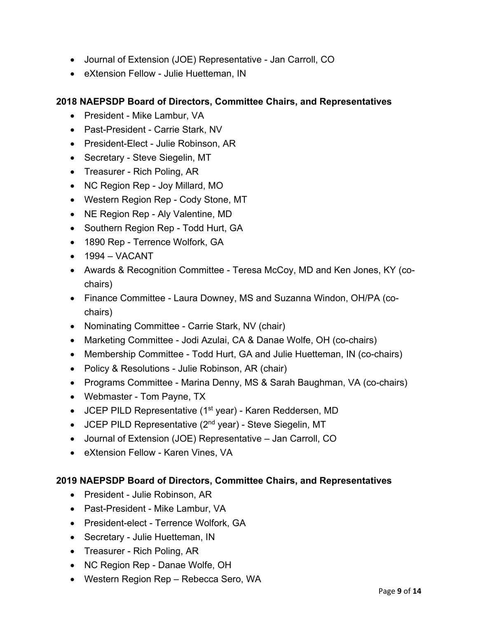- Journal of Extension (JOE) Representative Jan Carroll, CO
- eXtension Fellow Julie Huetteman, IN

- President Mike Lambur, VA
- Past-President Carrie Stark, NV
- President-Elect Julie Robinson, AR
- Secretary Steve Siegelin, MT
- Treasurer Rich Poling, AR
- NC Region Rep Joy Millard, MO
- Western Region Rep Cody Stone, MT
- NE Region Rep Aly Valentine, MD
- Southern Region Rep Todd Hurt, GA
- 1890 Rep Terrence Wolfork, GA
- $-1994 VACANT$
- Awards & Recognition Committee Teresa McCoy, MD and Ken Jones, KY (cochairs)
- Finance Committee Laura Downey, MS and Suzanna Windon, OH/PA (cochairs)
- Nominating Committee Carrie Stark, NV (chair)
- Marketing Committee Jodi Azulai, CA & Danae Wolfe, OH (co-chairs)
- Membership Committee Todd Hurt, GA and Julie Huetteman, IN (co-chairs)
- Policy & Resolutions Julie Robinson, AR (chair)
- Programs Committee Marina Denny, MS & Sarah Baughman, VA (co-chairs)
- Webmaster Tom Payne, TX
- JCEP PILD Representative (1<sup>st</sup> year) Karen Reddersen, MD
- $\bullet$  JCEP PILD Representative (2<sup>nd</sup> year) Steve Siegelin, MT
- Journal of Extension (JOE) Representative Jan Carroll, CO
- eXtension Fellow Karen Vines, VA

- President Julie Robinson, AR
- Past-President Mike Lambur, VA
- President-elect Terrence Wolfork, GA
- Secretary Julie Huetteman, IN
- Treasurer Rich Poling, AR
- NC Region Rep Danae Wolfe, OH
- Western Region Rep Rebecca Sero, WA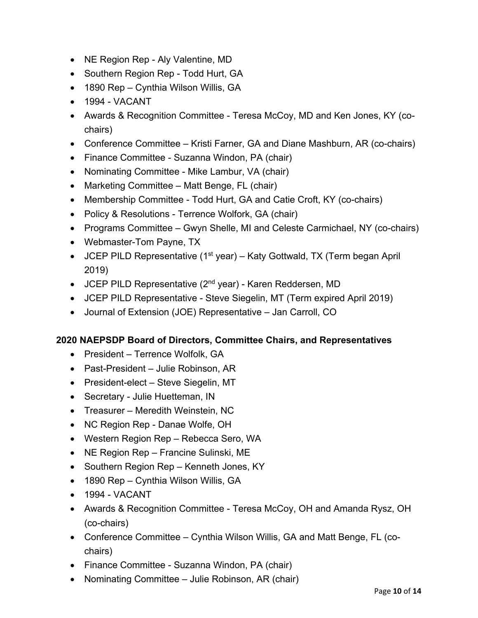- NE Region Rep Aly Valentine, MD
- Southern Region Rep Todd Hurt, GA
- 1890 Rep Cynthia Wilson Willis, GA
- 1994 VACANT
- Awards & Recognition Committee Teresa McCoy, MD and Ken Jones, KY (cochairs)
- Conference Committee Kristi Farner, GA and Diane Mashburn, AR (co-chairs)
- Finance Committee Suzanna Windon, PA (chair)
- Nominating Committee Mike Lambur, VA (chair)
- Marketing Committee Matt Benge, FL (chair)
- Membership Committee Todd Hurt, GA and Catie Croft, KY (co-chairs)
- Policy & Resolutions Terrence Wolfork, GA (chair)
- Programs Committee Gwyn Shelle, MI and Celeste Carmichael, NY (co-chairs)
- Webmaster-Tom Payne, TX
- JCEP PILD Representative (1<sup>st</sup> year) Katy Gottwald, TX (Term began April 2019)
- JCEP PILD Representative ( $2<sup>nd</sup>$  year) Karen Reddersen, MD
- JCEP PILD Representative Steve Siegelin, MT (Term expired April 2019)
- Journal of Extension (JOE) Representative Jan Carroll, CO

- President Terrence Wolfolk, GA
- Past-President Julie Robinson, AR
- President-elect Steve Siegelin, MT
- Secretary Julie Huetteman, IN
- Treasurer Meredith Weinstein, NC
- NC Region Rep Danae Wolfe, OH
- Western Region Rep Rebecca Sero, WA
- NE Region Rep Francine Sulinski, ME
- Southern Region Rep Kenneth Jones, KY
- 1890 Rep Cynthia Wilson Willis, GA
- 1994 VACANT
- Awards & Recognition Committee Teresa McCoy, OH and Amanda Rysz, OH (co-chairs)
- Conference Committee Cynthia Wilson Willis, GA and Matt Benge, FL (cochairs)
- Finance Committee Suzanna Windon, PA (chair)
- Nominating Committee Julie Robinson, AR (chair)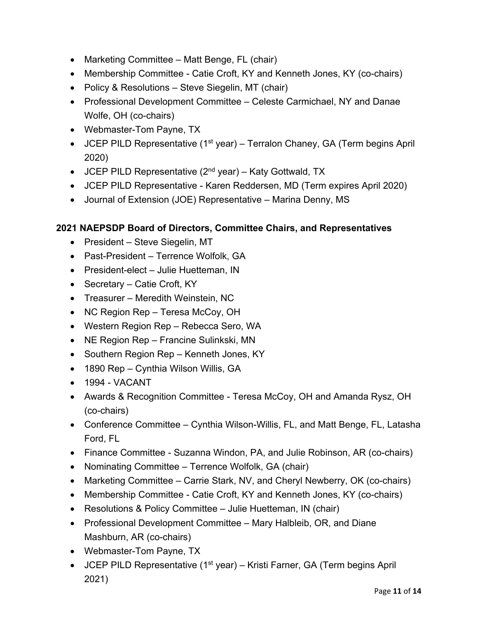- Marketing Committee Matt Benge, FL (chair)
- Membership Committee Catie Croft, KY and Kenneth Jones, KY (co-chairs)
- Policy & Resolutions Steve Siegelin, MT (chair)
- Professional Development Committee Celeste Carmichael, NY and Danae Wolfe, OH (co-chairs)
- Webmaster-Tom Payne, TX
- JCEP PILD Representative  $(1^{st}$  year) Terralon Chaney, GA (Term begins April 2020)
- JCEP PILD Representative  $(2^{nd}$  year) Katy Gottwald, TX
- JCEP PILD Representative Karen Reddersen, MD (Term expires April 2020)
- Journal of Extension (JOE) Representative Marina Denny, MS

- President Steve Siegelin, MT
- Past-President Terrence Wolfolk, GA
- President-elect Julie Huetteman, IN
- Secretary Catie Croft, KY
- Treasurer Meredith Weinstein, NC
- NC Region Rep Teresa McCoy, OH
- Western Region Rep Rebecca Sero, WA
- NE Region Rep Francine Sulinkski, MN
- Southern Region Rep Kenneth Jones, KY
- 1890 Rep Cynthia Wilson Willis, GA
- 1994 VACANT
- Awards & Recognition Committee Teresa McCoy, OH and Amanda Rysz, OH (co-chairs)
- Conference Committee Cynthia Wilson-Willis, FL, and Matt Benge, FL, Latasha Ford, FL
- Finance Committee Suzanna Windon, PA, and Julie Robinson, AR (co-chairs)
- Nominating Committee Terrence Wolfolk, GA (chair)
- Marketing Committee Carrie Stark, NV, and Cheryl Newberry, OK (co-chairs)
- Membership Committee Catie Croft, KY and Kenneth Jones, KY (co-chairs)
- Resolutions & Policy Committee Julie Huetteman, IN (chair)
- Professional Development Committee Mary Halbleib, OR, and Diane Mashburn, AR (co-chairs)
- Webmaster-Tom Payne, TX
- JCEP PILD Representative (1<sup>st</sup> year) Kristi Farner, GA (Term begins April 2021)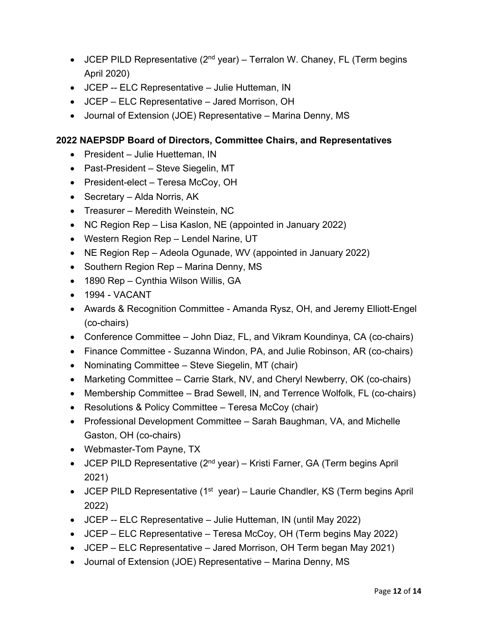- JCEP PILD Representative  $(2^{nd}$  year) Terralon W. Chaney, FL (Term begins April 2020)
- JCEP -- ELC Representative Julie Hutteman, IN
- JCEP ELC Representative Jared Morrison, OH
- Journal of Extension (JOE) Representative Marina Denny, MS

- President Julie Huetteman, IN
- Past-President Steve Siegelin, MT
- President-elect Teresa McCoy, OH
- Secretary Alda Norris, AK
- Treasurer Meredith Weinstein, NC
- NC Region Rep Lisa Kaslon, NE (appointed in January 2022)
- Western Region Rep Lendel Narine, UT
- NE Region Rep Adeola Ogunade, WV (appointed in January 2022)
- Southern Region Rep Marina Denny, MS
- 1890 Rep Cynthia Wilson Willis, GA
- $\bullet$  1994 VACANT
- Awards & Recognition Committee Amanda Rysz, OH, and Jeremy Elliott-Engel (co-chairs)
- Conference Committee John Diaz, FL, and Vikram Koundinya, CA (co-chairs)
- Finance Committee Suzanna Windon, PA, and Julie Robinson, AR (co-chairs)
- Nominating Committee Steve Siegelin, MT (chair)
- Marketing Committee Carrie Stark, NV, and Cheryl Newberry, OK (co-chairs)
- Membership Committee Brad Sewell, IN, and Terrence Wolfolk, FL (co-chairs)
- Resolutions & Policy Committee Teresa McCoy (chair)
- Professional Development Committee Sarah Baughman, VA, and Michelle Gaston, OH (co-chairs)
- Webmaster-Tom Payne, TX
- JCEP PILD Representative  $(2^{nd}$  year) Kristi Farner, GA (Term begins April 2021)
- JCEP PILD Representative (1<sup>st</sup> year) Laurie Chandler, KS (Term begins April 2022)
- JCEP -- ELC Representative Julie Hutteman, IN (until May 2022)
- JCEP ELC Representative Teresa McCoy, OH (Term begins May 2022)
- JCEP ELC Representative Jared Morrison, OH Term began May 2021)
- Journal of Extension (JOE) Representative Marina Denny, MS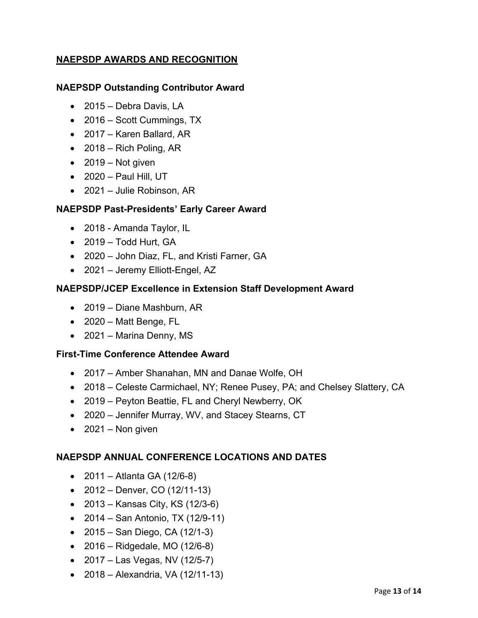# **NAEPSDP AWARDS AND RECOGNITION**

#### **NAEPSDP Outstanding Contributor Award**

- 2015 Debra Davis, LA
- 2016 Scott Cummings, TX
- 2017 Karen Ballard, AR
- $\bullet$  2018 Rich Poling, AR
- 2019 Not given
- $\bullet$  2020 Paul Hill, UT
- 2021 Julie Robinson, AR

#### **NAEPSDP Past-Presidents' Early Career Award**

- 2018 Amanda Taylor, IL
- 2019 Todd Hurt, GA
- 2020 John Diaz, FL, and Kristi Farner, GA
- 2021 Jeremy Elliott-Engel, AZ

#### **NAEPSDP/JCEP Excellence in Extension Staff Development Award**

- 2019 Diane Mashburn, AR
- 2020 Matt Benge, FL
- 2021 Marina Denny, MS

#### **First-Time Conference Attendee Award**

- 2017 Amber Shanahan, MN and Danae Wolfe, OH
- 2018 Celeste Carmichael, NY; Renee Pusey, PA; and Chelsey Slattery, CA
- 2019 Peyton Beattie, FL and Cheryl Newberry, OK
- 2020 Jennifer Murray, WV, and Stacey Stearns, CT
- $\bullet$  2021 Non given

#### **NAEPSDP ANNUAL CONFERENCE LOCATIONS AND DATES**

- $2011 -$  Atlanta GA (12/6-8)
- $\bullet$  2012 Denver, CO (12/11-13)
- 2013 Kansas City, KS (12/3-6)
- 2014 San Antonio, TX (12/9-11)
- $\bullet$  2015 San Diego, CA (12/1-3)
- 2016 Ridgedale, MO (12/6-8)
- 2017 Las Vegas, NV (12/5-7)
- $2018 -$  Alexandria, VA (12/11-13)